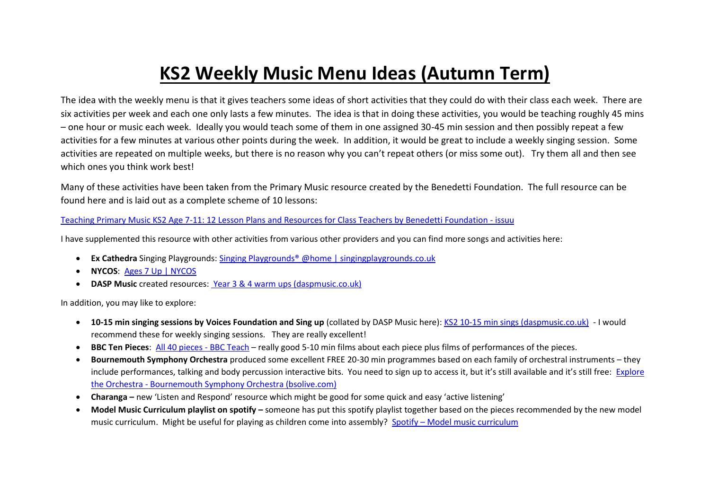## **KS2 Weekly Music Menu Ideas (Autumn Term)**

The idea with the weekly menu is that it gives teachers some ideas of short activities that they could do with their class each week. There are six activities per week and each one only lasts a few minutes. The idea is that in doing these activities, you would be teaching roughly 45 mins – one hour or music each week. Ideally you would teach some of them in one assigned 30-45 min session and then possibly repeat a few activities for a few minutes at various other points during the week. In addition, it would be great to include a weekly singing session. Some activities are repeated on multiple weeks, but there is no reason why you can't repeat others (or miss some out). Try them all and then see which ones you think work best!

Many of these activities have been taken from the Primary Music resource created by the Benedetti Foundation. The full resource can be found here and is laid out as a complete scheme of 10 lessons:

## [Teaching Primary Music KS2 Age 7-11: 12 Lesson Plans and Resources for Class Teachers by Benedetti Foundation -](https://issuu.com/benedettfoundation/docs/final_age_7-11_teaching_primary_music_) issuu

I have supplemented this resource with other activities from various other providers and you can find more songs and activities here:

- **Ex Cathedra** Singing Playgrounds: Singing Playgrounds® [@home | singingplaygrounds.co.uk](https://www.singingplaygrounds.co.uk/singing-playgrounds-home/?fbclid=IwAR0MROr1uyQCJNcn9XZ-0FN0G556bK0rK3R09s8hAaXR5oXooUsPseTMURo)
- **NYCOS**: [Ages 7 Up | NYCOS](https://www.nycos.co.uk/learn/video-resources/ages-7-up/)
- **DASP Music** created resources: [Year 3 & 4 warm ups \(daspmusic.co.uk\)](http://www.daspmusic.co.uk/lower-ks2-warm-ups-and-short-songs.html)

In addition, you may like to explore:

- **10-15 min singing sessions by Voices Foundation and Sing up** (collated by DASP Music here)[: KS2 10-15 min sings \(daspmusic.co.uk\)](http://www.daspmusic.co.uk/ks2-10-15-min-sings.html)  I would recommend these for weekly singing sessions. They are really excellent!
- **BBC Ten Pieces**: [All 40 pieces -](https://www.bbc.co.uk/teach/ten-pieces/all-resources/zdg3t39) BBC Teach really good 5-10 min films about each piece plus films of performances of the pieces.
- **Bournemouth Symphony Orchestra** produced some excellent FREE 20-30 min programmes based on each family of orchestral instruments they include performances, talking and body percussion interactive bits. You need to sign up to access it, but it's still available and it's still free: Explore the Orchestra - [Bournemouth Symphony Orchestra \(bsolive.com\)](https://bsolive.com/events/explore-the-orchestra/)
- **Charanga –** new 'Listen and Respond' resource which might be good for some quick and easy 'active listening'
- **Model Music Curriculum playlist on spotify –** someone has put this spotify playlist together based on the pieces recommended by the new model music curriculum. Might be useful for playing as children come into assembly? Spotify – [Model music curriculum](https://open.spotify.com/playlist/48QxCTGioG618w39dhx3S8)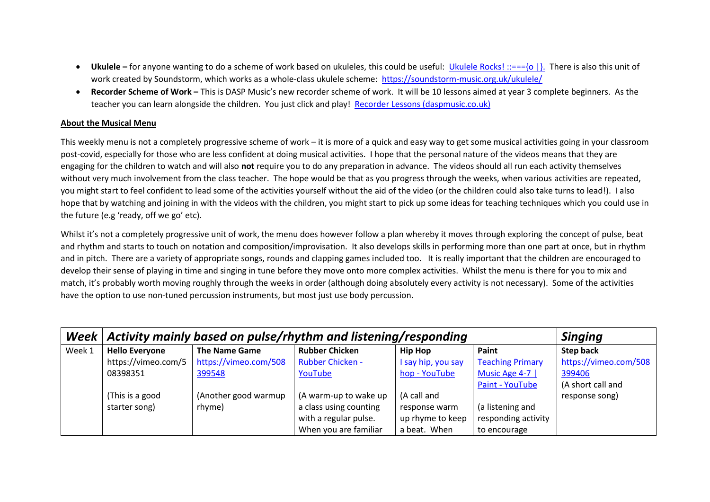- **Ukulele –** for anyone wanting to do a scheme of work based on ukuleles, this could be useful: [Ukulele Rocks! ::==={o |}](http://ukulelerocks.co.uk/lessons.htm). There is also this unit of work created by Soundstorm, which works as a whole-class ukulele scheme:<https://soundstorm-music.org.uk/ukulele/>
- **Recorder Scheme of Work –** This is DASP Music's new recorder scheme of work. It will be 10 lessons aimed at year 3 complete beginners. As the teacher you can learn alongside the children. You just click and play! [Recorder Lessons \(daspmusic.co.uk\)](http://www.daspmusic.co.uk/recorder-lessons-ks2.html)

## **About the Musical Menu**

This weekly menu is not a completely progressive scheme of work – it is more of a quick and easy way to get some musical activities going in your classroom post-covid, especially for those who are less confident at doing musical activities. I hope that the personal nature of the videos means that they are engaging for the children to watch and will also **not** require you to do any preparation in advance. The videos should all run each activity themselves without very much involvement from the class teacher. The hope would be that as you progress through the weeks, when various activities are repeated, you might start to feel confident to lead some of the activities yourself without the aid of the video (or the children could also take turns to lead!). I also hope that by watching and joining in with the videos with the children, you might start to pick up some ideas for teaching techniques which you could use in the future (e.g 'ready, off we go' etc).

Whilst it's not a completely progressive unit of work, the menu does however follow a plan whereby it moves through exploring the concept of pulse, beat and rhythm and starts to touch on notation and composition/improvisation. It also develops skills in performing more than one part at once, but in rhythm and in pitch. There are a variety of appropriate songs, rounds and clapping games included too. It is really important that the children are encouraged to develop their sense of playing in time and singing in tune before they move onto more complex activities. Whilst the menu is there for you to mix and match, it's probably worth moving roughly through the weeks in order (although doing absolutely every activity is not necessary). Some of the activities have the option to use non-tuned percussion instruments, but most just use body percussion.

|        | Week   Activity mainly based on pulse/rhythm and listening/responding | <b>Singing</b>        |                         |                    |                         |                       |
|--------|-----------------------------------------------------------------------|-----------------------|-------------------------|--------------------|-------------------------|-----------------------|
| Week 1 | <b>Hello Everyone</b>                                                 | The Name Game         | <b>Rubber Chicken</b>   | <b>Hip Hop</b>     | Paint                   | <b>Step back</b>      |
|        | https://vimeo.com/5                                                   | https://vimeo.com/508 | <b>Rubber Chicken -</b> | I say hip, you say | <b>Teaching Primary</b> | https://vimeo.com/508 |
|        | 08398351                                                              | 399548                | YouTube                 | hop - YouTube      | Music Age 4-7           | 399406                |
|        |                                                                       |                       |                         |                    | Paint - YouTube         | (A short call and     |
|        | (This is a good                                                       | (Another good warmup  | (A warm-up to wake up   | (A call and        |                         | response song)        |
|        | starter song)                                                         | rhyme)                | a class using counting  | response warm      | (a listening and        |                       |
|        |                                                                       |                       | with a regular pulse.   | up rhyme to keep   | responding activity     |                       |
|        |                                                                       |                       | When you are familiar   | a beat. When       | to encourage            |                       |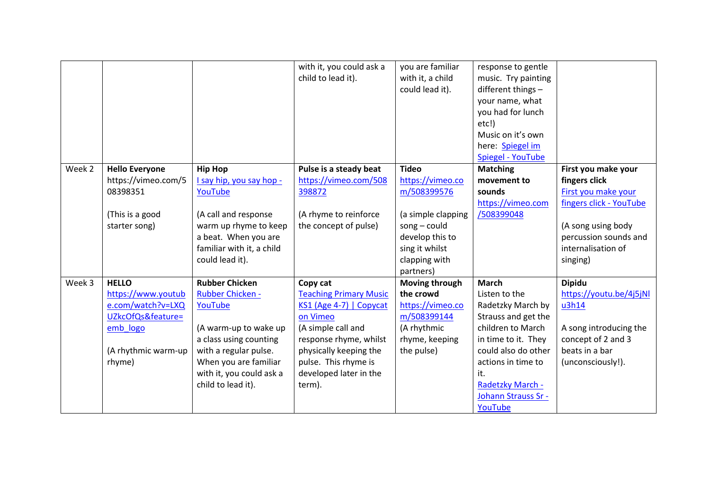|        |                       |                           | with it, you could ask a<br>child to lead it). | you are familiar<br>with it, a child<br>could lead it). | response to gentle<br>music. Try painting<br>different things -<br>your name, what<br>you had for lunch<br>etc!) |                         |
|--------|-----------------------|---------------------------|------------------------------------------------|---------------------------------------------------------|------------------------------------------------------------------------------------------------------------------|-------------------------|
|        |                       |                           |                                                |                                                         | Music on it's own<br>here: Spiegel im                                                                            |                         |
|        |                       |                           |                                                |                                                         | Spiegel - YouTube                                                                                                |                         |
| Week 2 | <b>Hello Everyone</b> | <b>Hip Hop</b>            | Pulse is a steady beat                         | <b>Tideo</b>                                            | <b>Matching</b>                                                                                                  | First you make your     |
|        | https://vimeo.com/5   | I say hip, you say hop -  | https://vimeo.com/508                          | https://vimeo.co                                        | movement to                                                                                                      | fingers click           |
|        | 08398351              | YouTube                   | 398872                                         | m/508399576                                             | sounds                                                                                                           | First you make your     |
|        |                       |                           |                                                |                                                         | https://vimeo.com                                                                                                | fingers click - YouTube |
|        | (This is a good       | (A call and response      | (A rhyme to reinforce                          | (a simple clapping                                      | /508399048                                                                                                       |                         |
|        | starter song)         | warm up rhyme to keep     | the concept of pulse)                          | $s$ ong – could                                         |                                                                                                                  | (A song using body      |
|        |                       | a beat. When you are      |                                                | develop this to                                         |                                                                                                                  | percussion sounds and   |
|        |                       | familiar with it, a child |                                                | sing it whilst                                          |                                                                                                                  | internalisation of      |
|        |                       | could lead it).           |                                                | clapping with                                           |                                                                                                                  | singing)                |
|        |                       |                           |                                                | partners)                                               |                                                                                                                  |                         |
| Week 3 | <b>HELLO</b>          | <b>Rubber Chicken</b>     | Copy cat                                       | Moving through                                          | <b>March</b>                                                                                                     | <b>Dipidu</b>           |
|        | https://www.youtub    | Rubber Chicken -          | <b>Teaching Primary Music</b>                  | the crowd                                               | Listen to the                                                                                                    | https://youtu.be/4j5jNl |
|        | e.com/watch?v=LXQ     | YouTube                   | KS1 (Age 4-7) $\vert$ Copycat                  | https://vimeo.co                                        | Radetzky March by                                                                                                | u3h14                   |
|        | UZkcOfQs&feature=     |                           | on Vimeo                                       | m/508399144                                             | Strauss and get the                                                                                              |                         |
|        | emb logo              | (A warm-up to wake up     | (A simple call and                             | (A rhythmic                                             | children to March                                                                                                | A song introducing the  |
|        |                       | a class using counting    | response rhyme, whilst                         | rhyme, keeping                                          | in time to it. They                                                                                              | concept of 2 and 3      |
|        | (A rhythmic warm-up   | with a regular pulse.     | physically keeping the                         | the pulse)                                              | could also do other                                                                                              | beats in a bar          |
|        | rhyme)                | When you are familiar     | pulse. This rhyme is                           |                                                         | actions in time to                                                                                               | (unconsciously!).       |
|        |                       | with it, you could ask a  | developed later in the                         |                                                         | it.                                                                                                              |                         |
|        |                       | child to lead it).        | term).                                         |                                                         | <b>Radetzky March -</b>                                                                                          |                         |
|        |                       |                           |                                                |                                                         | Johann Strauss Sr -                                                                                              |                         |
|        |                       |                           |                                                |                                                         | YouTube                                                                                                          |                         |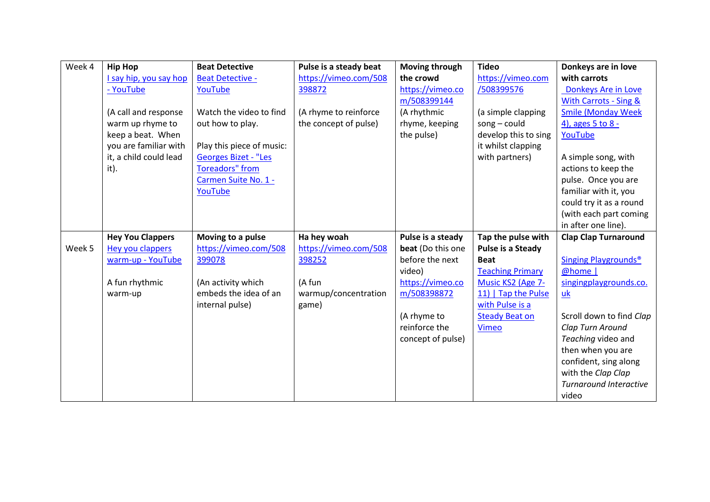| Week 4 | <b>Hip Hop</b>          | <b>Beat Detective</b>       | Pulse is a steady beat | <b>Moving through</b> | <b>Tideo</b>             | Donkeys are in love              |
|--------|-------------------------|-----------------------------|------------------------|-----------------------|--------------------------|----------------------------------|
|        | I say hip, you say hop  | <b>Beat Detective -</b>     | https://vimeo.com/508  | the crowd             | https://vimeo.com        | with carrots                     |
|        | - YouTube               | YouTube                     | 398872                 | https://vimeo.co      | /508399576               | Donkeys Are in Love              |
|        |                         |                             |                        | m/508399144           |                          | <b>With Carrots - Sing &amp;</b> |
|        | (A call and response    | Watch the video to find     | (A rhyme to reinforce  | (A rhythmic           | (a simple clapping       | <b>Smile (Monday Week</b>        |
|        | warm up rhyme to        | out how to play.            | the concept of pulse)  | rhyme, keeping        | $song - could$           | 4), ages 5 to 8 -                |
|        | keep a beat. When       |                             |                        | the pulse)            | develop this to sing     | YouTube                          |
|        | you are familiar with   | Play this piece of music:   |                        |                       | it whilst clapping       |                                  |
|        | it, a child could lead  | <b>Georges Bizet - "Les</b> |                        |                       | with partners)           | A simple song, with              |
|        | it).                    | <b>Toreadors</b> " from     |                        |                       |                          | actions to keep the              |
|        |                         | Carmen Suite No. 1 -        |                        |                       |                          | pulse. Once you are              |
|        |                         | YouTube                     |                        |                       |                          | familiar with it, you            |
|        |                         |                             |                        |                       |                          | could try it as a round          |
|        |                         |                             |                        |                       |                          | (with each part coming           |
|        |                         |                             |                        |                       |                          | in after one line).              |
|        | <b>Hey You Clappers</b> | Moving to a pulse           | Ha hey woah            | Pulse is a steady     | Tap the pulse with       | <b>Clap Clap Turnaround</b>      |
| Week 5 | Hey you clappers        | https://vimeo.com/508       | https://vimeo.com/508  | beat (Do this one     | <b>Pulse is a Steady</b> |                                  |
|        | warm-up - YouTube       | 399078                      | 398252                 | before the next       | <b>Beat</b>              | <b>Singing Playgrounds®</b>      |
|        |                         |                             |                        | video)                | <b>Teaching Primary</b>  | @home                            |
|        | A fun rhythmic          | (An activity which          | (A fun                 | https://vimeo.co      | Music KS2 (Age 7-        | singingplaygrounds.co.           |
|        | warm-up                 | embeds the idea of an       | warmup/concentration   | m/508398872           | 11)   Tap the Pulse      | uk                               |
|        |                         | internal pulse)             |                        |                       |                          |                                  |
|        |                         |                             | game)                  |                       | with Pulse is a          |                                  |
|        |                         |                             |                        | (A rhyme to           | <b>Steady Beat on</b>    | Scroll down to find Clap         |
|        |                         |                             |                        | reinforce the         | <b>Vimeo</b>             | Clap Turn Around                 |
|        |                         |                             |                        | concept of pulse)     |                          | Teaching video and               |
|        |                         |                             |                        |                       |                          | then when you are                |
|        |                         |                             |                        |                       |                          | confident, sing along            |
|        |                         |                             |                        |                       |                          | with the Clap Clap               |
|        |                         |                             |                        |                       |                          | <b>Turnaround Interactive</b>    |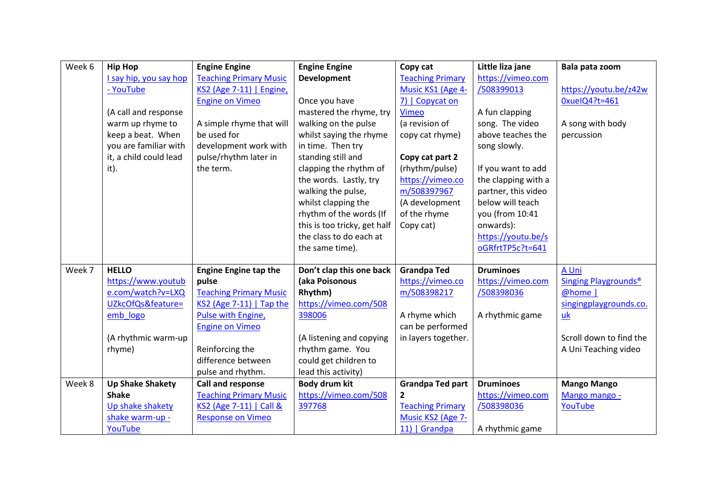| Week 6 | <b>Hip Hop</b>          | <b>Engine Engine</b>          | <b>Engine Engine</b>         | Copy cat                | Little liza jane    | Bala pata zoom                          |
|--------|-------------------------|-------------------------------|------------------------------|-------------------------|---------------------|-----------------------------------------|
|        | I say hip, you say hop  | <b>Teaching Primary Music</b> | <b>Development</b>           | <b>Teaching Primary</b> | https://vimeo.com   |                                         |
|        | - YouTube               | KS2 (Age 7-11)   Engine,      |                              | Music KS1 (Age 4-       | /508399013          | https://youtu.be/z42w                   |
|        |                         | <b>Engine on Vimeo</b>        | Once you have                | 7)   Copycat on         |                     | $0xuelQ4?t=461$                         |
|        | (A call and response    |                               | mastered the rhyme, try      | <b>Vimeo</b>            | A fun clapping      |                                         |
|        | warm up rhyme to        | A simple rhyme that will      | walking on the pulse         | (a revision of          | song. The video     | A song with body                        |
|        | keep a beat. When       | be used for                   | whilst saying the rhyme      | copy cat rhyme)         | above teaches the   | percussion                              |
|        | you are familiar with   | development work with         | in time. Then try            |                         | song slowly.        |                                         |
|        | it, a child could lead  | pulse/rhythm later in         | standing still and           | Copy cat part 2         |                     |                                         |
|        | it).                    | the term.                     | clapping the rhythm of       | (rhythm/pulse)          | If you want to add  |                                         |
|        |                         |                               | the words. Lastly, try       | https://vimeo.co        | the clapping with a |                                         |
|        |                         |                               | walking the pulse,           | m/508397967             | partner, this video |                                         |
|        |                         |                               | whilst clapping the          | (A development          | below will teach    |                                         |
|        |                         |                               | rhythm of the words (If      | of the rhyme            | you (from 10:41     |                                         |
|        |                         |                               | this is too tricky, get half | Copy cat)               | onwards):           |                                         |
|        |                         |                               | the class to do each at      |                         | https://youtu.be/s  |                                         |
|        |                         |                               | the same time).              |                         | oGRfrtTP5c?t=641    |                                         |
|        |                         |                               |                              |                         |                     |                                         |
| Week 7 | <b>HELLO</b>            | <b>Engine Engine tap the</b>  | Don't clap this one back     | <b>Grandpa Ted</b>      | <b>Druminoes</b>    | A Uni                                   |
|        | https://www.youtub      | pulse                         | (aka Poisonous               | https://vimeo.co        | https://vimeo.com   | <b>Singing Playgrounds</b> <sup>®</sup> |
|        | e.com/watch?v=LXQ       | <b>Teaching Primary Music</b> | Rhythm)                      | m/508398217             | /508398036          | @home                                   |
|        | UZkcOfQs&feature=       | KS2 (Age $7-11$ )   Tap the   | https://vimeo.com/508        |                         |                     | singingplaygrounds.co.                  |
|        | emb logo                | Pulse with Engine,            | 398006                       | A rhyme which           | A rhythmic game     | uk                                      |
|        |                         | <b>Engine on Vimeo</b>        |                              | can be performed        |                     |                                         |
|        | (A rhythmic warm-up     |                               | (A listening and copying     | in layers together.     |                     | Scroll down to find the                 |
|        | rhyme)                  | Reinforcing the               | rhythm game. You             |                         |                     | A Uni Teaching video                    |
|        |                         | difference between            | could get children to        |                         |                     |                                         |
|        |                         | pulse and rhythm.             | lead this activity)          |                         |                     |                                         |
| Week 8 | <b>Up Shake Shakety</b> | Call and response             | Body drum kit                | <b>Grandpa Ted part</b> | <b>Druminoes</b>    | <b>Mango Mango</b>                      |
|        | <b>Shake</b>            | <b>Teaching Primary Music</b> | https://vimeo.com/508        | $\overline{2}$          | https://vimeo.com   | Mango mango -                           |
|        | Up shake shakety        | KS2 (Age 7-11)   Call &       | 397768                       | <b>Teaching Primary</b> | /508398036          | YouTube                                 |
|        | shake warm-up -         | <b>Response on Vimeo</b>      |                              | Music KS2 (Age 7-       |                     |                                         |
|        | YouTube                 |                               |                              | 11)   Grandpa           | A rhythmic game     |                                         |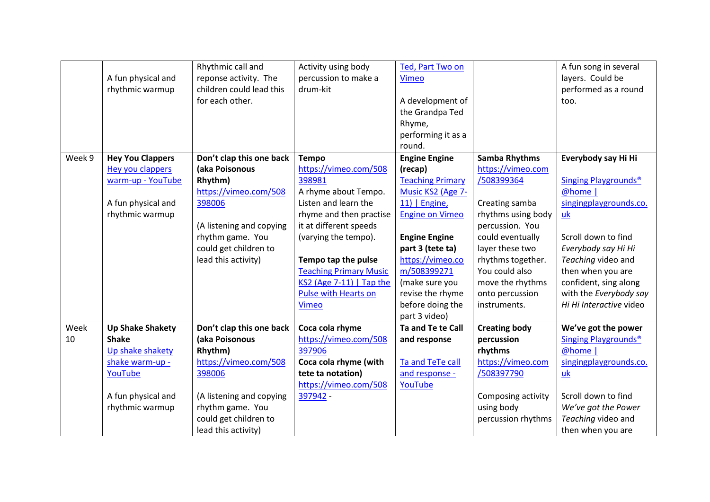|        |                         | Rhythmic call and        | Activity using body           | Ted, Part Two on        |                      | A fun song in several       |
|--------|-------------------------|--------------------------|-------------------------------|-------------------------|----------------------|-----------------------------|
|        | A fun physical and      | reponse activity. The    | percussion to make a          | <b>Vimeo</b>            |                      | layers. Could be            |
|        | rhythmic warmup         | children could lead this | drum-kit                      |                         |                      | performed as a round        |
|        |                         | for each other.          |                               | A development of        |                      | too.                        |
|        |                         |                          |                               | the Grandpa Ted         |                      |                             |
|        |                         |                          |                               | Rhyme,                  |                      |                             |
|        |                         |                          |                               | performing it as a      |                      |                             |
|        |                         |                          |                               | round.                  |                      |                             |
| Week 9 | <b>Hey You Clappers</b> | Don't clap this one back | <b>Tempo</b>                  | <b>Engine Engine</b>    | <b>Samba Rhythms</b> | Everybody say Hi Hi         |
|        | Hey you clappers        | (aka Poisonous           | https://vimeo.com/508         | (recap)                 | https://vimeo.com    |                             |
|        | warm-up - YouTube       | Rhythm)                  | 398981                        | <b>Teaching Primary</b> | /508399364           | <b>Singing Playgrounds®</b> |
|        |                         | https://vimeo.com/508    | A rhyme about Tempo.          | Music KS2 (Age 7-       |                      | @home                       |
|        | A fun physical and      | 398006                   | Listen and learn the          | $11$ ]   Engine,        | Creating samba       | singingplaygrounds.co.      |
|        | rhythmic warmup         |                          | rhyme and then practise       | <b>Engine on Vimeo</b>  | rhythms using body   | uk                          |
|        |                         | (A listening and copying | it at different speeds        |                         | percussion. You      |                             |
|        |                         | rhythm game. You         | (varying the tempo).          | <b>Engine Engine</b>    | could eventually     | Scroll down to find         |
|        |                         | could get children to    |                               | part 3 (tete ta)        | layer these two      | Everybody say Hi Hi         |
|        |                         | lead this activity)      | Tempo tap the pulse           | https://vimeo.co        | rhythms together.    | Teaching video and          |
|        |                         |                          | <b>Teaching Primary Music</b> | m/508399271             | You could also       | then when you are           |
|        |                         |                          | KS2 (Age $7-11$ )   Tap the   | (make sure you          | move the rhythms     | confident, sing along       |
|        |                         |                          | <b>Pulse with Hearts on</b>   | revise the rhyme        | onto percussion      | with the Everybody say      |
|        |                         |                          | <b>Vimeo</b>                  | before doing the        | instruments.         | Hi Hi Interactive video     |
|        |                         |                          |                               | part 3 video)           |                      |                             |
| Week   | <b>Up Shake Shakety</b> | Don't clap this one back | Coca cola rhyme               | Ta and Te te Call       | <b>Creating body</b> | We've got the power         |
| 10     | <b>Shake</b>            | (aka Poisonous           | https://vimeo.com/508         | and response            | percussion           | <b>Singing Playgrounds®</b> |
|        | Up shake shakety        | Rhythm)                  | 397906                        |                         | rhythms              | @home                       |
|        | shake warm-up -         | https://vimeo.com/508    | Coca cola rhyme (with         | Ta and TeTe call        | https://vimeo.com    | singingplaygrounds.co.      |
|        | YouTube                 | 398006                   | tete ta notation)             | and response -          | /508397790           | $\underline{uk}$            |
|        |                         |                          | https://vimeo.com/508         | YouTube                 |                      |                             |
|        | A fun physical and      | (A listening and copying | 397942 -                      |                         | Composing activity   | Scroll down to find         |
|        | rhythmic warmup         | rhythm game. You         |                               |                         | using body           | We've got the Power         |
|        |                         | could get children to    |                               |                         | percussion rhythms   | Teaching video and          |
|        |                         | lead this activity)      |                               |                         |                      | then when you are           |